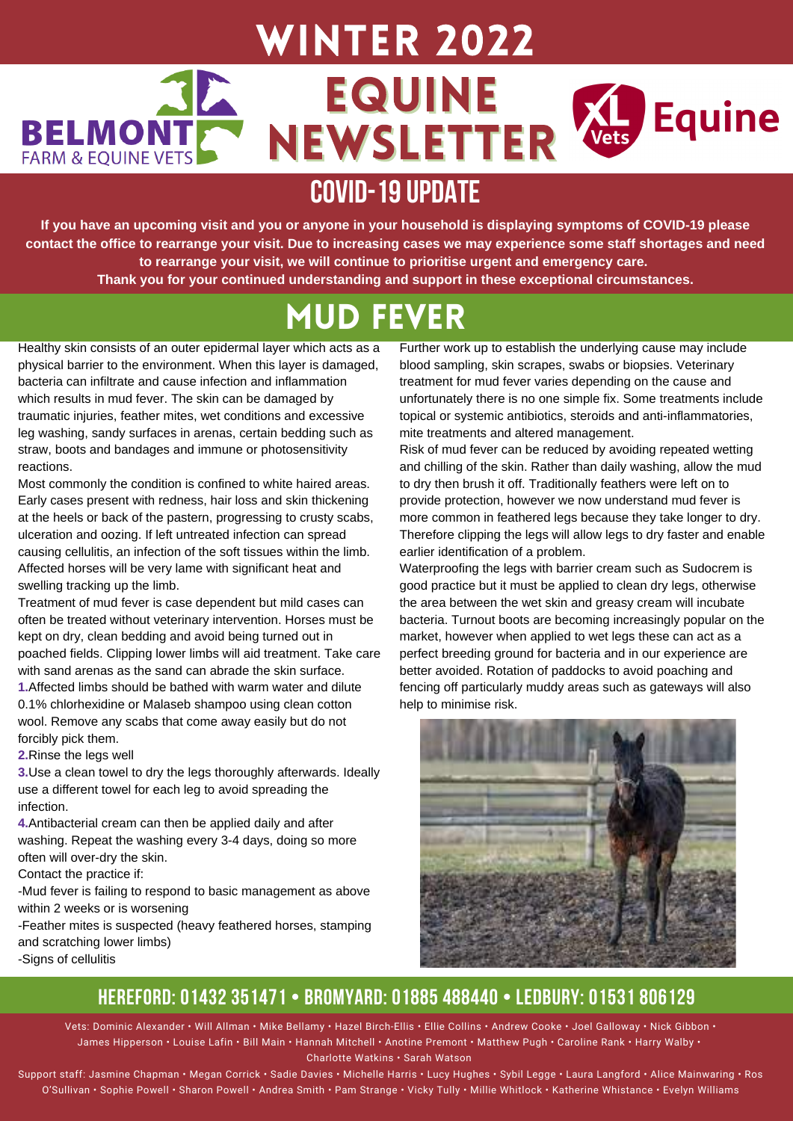### Winter 2022 EQUINE Equine **EL**<br>/ets **BELMONT** NEWSLETTER **FARM & EOUINE VETS**

# **COVID-19UPDATE**

If you have an upcoming visit and you or anyone in your household is displaying symptoms of COVID-19 please contact the office to rearrange your visit. Due to increasing cases we may experience some staff shortages and need **to rearrange your visit, we will continue to prioritise urgent and emergency care. Thank you for your continued understanding and support in these exceptional circumstances.**

# Mud Fever

Healthy skin consists of an outer epidermal layer which acts as a physical barrier to the environment. When this layer is damaged, bacteria can infiltrate and cause infection and inflammation which results in mud fever. The skin can be damaged by traumatic injuries, feather mites, wet conditions and excessive leg washing, sandy surfaces in arenas, certain bedding such as straw, boots and bandages and immune or photosensitivity reactions.

Most commonly the condition is confined to white haired areas. Early cases present with redness, hair loss and skin thickening at the heels or back of the pastern, progressing to crusty scabs, ulceration and oozing. If left untreated infection can spread causing cellulitis, an infection of the soft tissues within the limb. Affected horses will be very lame with significant heat and swelling tracking up the limb.

Treatment of mud fever is case dependent but mild cases can often be treated without veterinary intervention. Horses must be kept on dry, clean bedding and avoid being turned out in poached fields. Clipping lower limbs will aid treatment. Take care with sand arenas as the sand can abrade the skin surface.

**1.**Affected limbs should be bathed with warm water and dilute 0.1% chlorhexidine or Malaseb shampoo using clean cotton wool. Remove any scabs that come away easily but do not forcibly pick them.

**2.**Rinse the legs well

**3.**Use a clean towel to dry the legs thoroughly afterwards. Ideally use a different towel for each leg to avoid spreading the infection.

**4.**Antibacterial cream can then be applied daily and after washing. Repeat the washing every 3-4 days, doing so more often will over-dry the skin.

Contact the practice if:

-Mud fever is failing to respond to basic management as above within 2 weeks or is worsening

-Feather mites is suspected (heavy feathered horses, stamping and scratching lower limbs) -Signs of cellulitis

Further work up to establish the underlying cause may include blood sampling, skin scrapes, swabs or biopsies. Veterinary treatment for mud fever varies depending on the cause and unfortunately there is no one simple fix. Some treatments include topical or systemic antibiotics, steroids and anti-inflammatories, mite treatments and altered management.

Risk of mud fever can be reduced by avoiding repeated wetting and chilling of the skin. Rather than daily washing, allow the mud to dry then brush it off. Traditionally feathers were left on to provide protection, however we now understand mud fever is more common in feathered legs because they take longer to dry. Therefore clipping the legs will allow legs to dry faster and enable earlier identification of a problem.

Waterproofing the legs with barrier cream such as Sudocrem is good practice but it must be applied to clean dry legs, otherwise the area between the wet skin and greasy cream will incubate bacteria. Turnout boots are becoming increasingly popular on the market, however when applied to wet legs these can act as a perfect breeding ground for bacteria and in our experience are better avoided. Rotation of paddocks to avoid poaching and fencing off particularly muddy areas such as gateways will also help to minimise risk.



### **HEREFORD: 01432 351471 • BROMYARD: 01885 488440 • LEDBURY: 01531 806129**

Vets: Dominic Alexander • Will Allman • Mike Bellamy • Hazel Birch-Ellis • Ellie Collins • Andrew Cooke • Joel Galloway • Nick Gibbon • James Hipperson • Louise Lafin • Bill Main • Hannah Mitchell • Anotine Premont • Matthew Pugh • Caroline Rank • Harry Walby • Charlotte Watkins • Sarah Watson

Support staff: Jasmine Chapman • Megan Corrick • Sadie Davies • Michelle Harris • Lucy Hughes • Sybil Legge • Laura Langford • Alice Mainwaring • Ros O'Sullivan • Sophie Powell • Sharon Powell • Andrea Smith • Pam Strange • Vicky Tully • Millie Whitlock • Katherine Whistance • Evelyn Williams